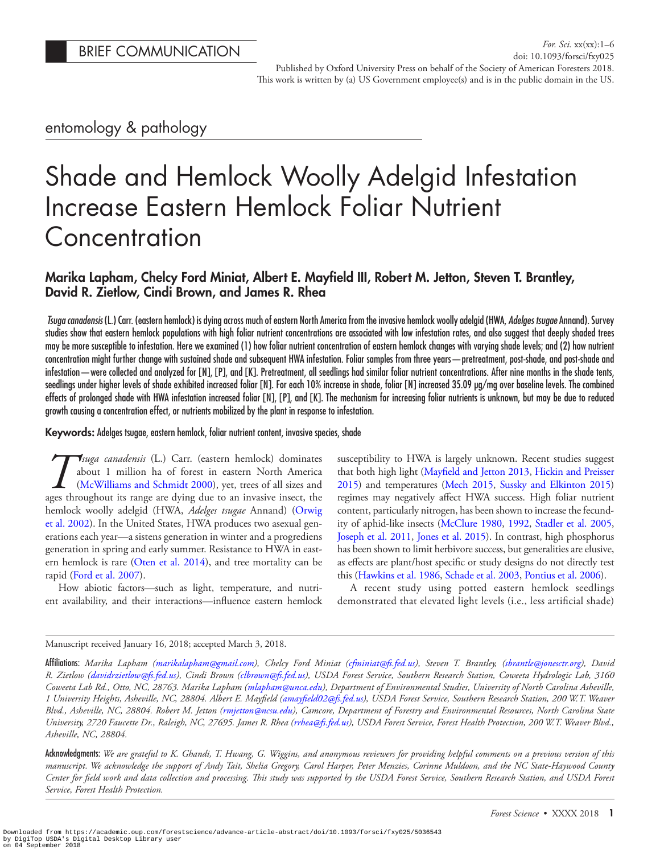# entomology & pathology

# Shade and Hemlock Woolly Adelgid Infestation Increase Eastern Hemlock Foliar Nutrient **Concentration**

# Marika Lapham, Chelcy Ford Miniat, Albert E. Mayfield III, Robert M. Jetton, Steven T. Brantley, David R. Zietlow, Cindi Brown, and James R. Rhea

*Tsuga canadensis* (L.) Carr. (eastern hemlock) is dying across much of eastern North America from the invasive hemlock woolly adelgid (HWA, *Adelges tsugae* Annand). Survey studies show that eastern hemlock populations with high foliar nutrient concentrations are associated with low infestation rates, and also suggest that deeply shaded trees may be more susceptible to infestation. Here we examined (1) how foliar nutrient concentration of eastern hemlock changes with varying shade levels; and (2) how nutrient concentration might further change with sustained shade and subsequent HWA infestation. Foliar samples from three years—pretreatment, post-shade, and post-shade and infestation—were collected and analyzed for [N], [P], and [K]. Pretreatment, all seedlings had similar foliar nutrient concentrations. After nine months in the shade tents, seedlings under higher levels of shade exhibited increased foliar [N]. For each 10% increase in shade, foliar [N] increased 35.09 μg/mg over baseline levels. The combined effects of prolonged shade with HWA infestation increased foliar [N], [P], and [K]. The mechanism for increasing foliar nutrients is unknown, but may be due to reduced growth causing a concentration effect, or nutrients mobilized by the plant in response to infestation.

Keywords: Adelges tsugae, eastern hemlock, foliar nutrient content, invasive species, shade

*T Suga canadensis* (L.) Carr. (eastern hemlock) dominates about 1 million ha of forest in eastern North America (McWilliams and Schmidt 2000), yet, trees of all sizes and ages throughout its range are dving due to an in about 1 million ha of forest in eastern North America [\(McWilliams and Schmidt 2000](#page-5-0)), yet, trees of all sizes and ages throughout its range are dying due to an invasive insect, the hemlock woolly adelgid (HWA, *Adelges tsugae* Annand) ([Orwig](#page-5-1) [et al. 2002\)](#page-5-1). In the United States, HWA produces two asexual generations each year—a sistens generation in winter and a progrediens generation in spring and early summer. Resistance to HWA in eastern hemlock is rare [\(Oten et al. 2014](#page-5-2)), and tree mortality can be rapid ([Ford et al. 2007](#page-4-0)).

How abiotic factors—such as light, temperature, and nutrient availability, and their interactions—influence eastern hemlock susceptibility to HWA is largely unknown. Recent studies suggest that both high light [\(Mayfield and Jetton 2013](#page-5-3), [Hickin and Preisser](#page-4-1) [2015\)](#page-4-1) and temperatures ([Mech 2015,](#page-5-4) [Sussky and Elkinton 2015\)](#page-5-5) regimes may negatively affect HWA success. High foliar nutrient content, particularly nitrogen, has been shown to increase the fecundity of aphid-like insects [\(McClure 1980,](#page-5-6) [1992](#page-5-7), [Stadler et al. 2005,](#page-5-8) [Joseph et al. 2011,](#page-4-2) [Jones et al. 2015\)](#page-4-3). In contrast, high phosphorus has been shown to limit herbivore success, but generalities are elusive, as effects are plant/host specific or study designs do not directly test this [\(Hawkins et al. 1986](#page-4-4), [Schade et al. 2003,](#page-5-9) [Pontius et al. 2006](#page-5-10)).

A recent study using potted eastern hemlock seedlings demonstrated that elevated light levels (i.e., less artificial shade)

## Manuscript received January 16, 2018; accepted March 3, 2018.

Affiliations: *Marika Lapham [\(marikalapham@gmail.com\)](mailto:marikalapham@gmail.com?subject=), Chelcy Ford Miniat [\(cfminiat@fs.fed.us](mailto:cfminiat@fs.fed.us?subject=)), Steven T. Brantley, ([sbrantle@jonesctr.org\)](mailto:sbrantle@jonesctr.org?subject=), David R. Zietlow [\(davidrzietlow@fs.fed.us](mailto:davidrzietlow@fs.fed.us?subject=)), Cindi Brown ([clbrown@fs.fed.us\)](mailto:clbrown@fs.fed.us?subject=), USDA Forest Service, Southern Research Station, Coweeta Hydrologic Lab, 3160 Coweeta Lab Rd., Otto, NC, 28763. Marika Lapham ([mlapham@unca.edu](mailto:mlapham@unca.edu?subject=)), Department of Environmental Studies, University of North Carolina Asheville, 1 University Heights, Asheville, NC, 28804. Albert E. Mayfield [\(amayfield02@fs.fed.us\)](mailto:amayfield02@fs.fed.us?subject=), USDA Forest Service, Southern Research Station, 200 W.T. Weaver Blvd., Asheville, NC, 28804. Robert M. Jetton ([rmjetton@ncsu.edu](mailto:rmjetton@ncsu.edu?subject=)), Camcore, Department of Forestry and Environmental Resources, North Carolina State University, 2720 Faucette Dr., Raleigh, NC, 27695. James R. Rhea ([rrhea@fs.fed.us\)](mailto:rrhea@fs.fed.us?subject=), USDA Forest Service, Forest Health Protection, 200 W.T. Weaver Blvd., Asheville, NC, 28804.*

Acknowledgments: *We are grateful to K. Ghandi, T. Hwang, G. Wiggins, and anonymous reviewers for providing helpful comments on a previous version of this manuscript. We acknowledge the support of Andy Tait, Shelia Gregory, Carol Harper, Peter Menzies, Corinne Muldoon, and the NC State-Haywood County Center for field work and data collection and processing. This study was supported by the USDA Forest Service, Southern Research Station, and USDA Forest Service, Forest Health Protection.*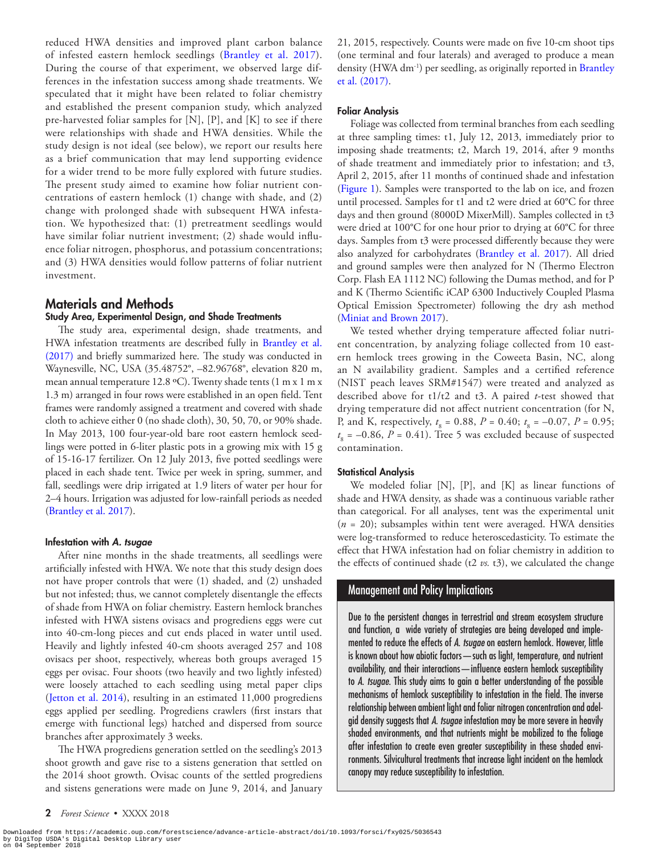reduced HWA densities and improved plant carbon balance of infested eastern hemlock seedlings [\(Brantley et al. 2017](#page-4-5)). During the course of that experiment, we observed large differences in the infestation success among shade treatments. We speculated that it might have been related to foliar chemistry and established the present companion study, which analyzed pre-harvested foliar samples for [N], [P], and [K] to see if there were relationships with shade and HWA densities. While the study design is not ideal (see below), we report our results here as a brief communication that may lend supporting evidence for a wider trend to be more fully explored with future studies. The present study aimed to examine how foliar nutrient concentrations of eastern hemlock (1) change with shade, and (2) change with prolonged shade with subsequent HWA infestation. We hypothesized that: (1) pretreatment seedlings would have similar foliar nutrient investment; (2) shade would influence foliar nitrogen, phosphorus, and potassium concentrations; and (3) HWA densities would follow patterns of foliar nutrient investment.

# Materials and Methods

#### Study Area, Experimental Design, and Shade Treatments

The study area, experimental design, shade treatments, and HWA infestation treatments are described fully in [Brantley et al.](#page-4-5)  [\(2017\)](#page-4-5) and briefly summarized here. The study was conducted in Waynesville, NC, USA (35.48752°, –82.96768°, elevation 820 m, mean annual temperature 12.8 ºC). Twenty shade tents (1 m x 1 m x 1.3 m) arranged in four rows were established in an open field. Tent frames were randomly assigned a treatment and covered with shade cloth to achieve either 0 (no shade cloth), 30, 50, 70, or 90% shade. In May 2013, 100 four-year-old bare root eastern hemlock seedlings were potted in 6-liter plastic pots in a growing mix with 15 g of 15-16-17 fertilizer. On 12 July 2013, five potted seedlings were placed in each shade tent. Twice per week in spring, summer, and fall, seedlings were drip irrigated at 1.9 liters of water per hour for 2–4 hours. Irrigation was adjusted for low-rainfall periods as needed [\(Brantley et al. 2017](#page-4-5)).

#### Infestation with *A. tsugae*

After nine months in the shade treatments, all seedlings were artificially infested with HWA. We note that this study design does not have proper controls that were (1) shaded, and (2) unshaded but not infested; thus, we cannot completely disentangle the effects of shade from HWA on foliar chemistry. Eastern hemlock branches infested with HWA sistens ovisacs and progrediens eggs were cut into 40-cm-long pieces and cut ends placed in water until used. Heavily and lightly infested 40-cm shoots averaged 257 and 108 ovisacs per shoot, respectively, whereas both groups averaged 15 eggs per ovisac. Four shoots (two heavily and two lightly infested) were loosely attached to each seedling using metal paper clips ([Jetton et al. 2014](#page-4-6)), resulting in an estimated 11,000 progrediens eggs applied per seedling. Progrediens crawlers (first instars that emerge with functional legs) hatched and dispersed from source branches after approximately 3 weeks.

The HWA progrediens generation settled on the seedling's 2013 shoot growth and gave rise to a sistens generation that settled on the 2014 shoot growth. Ovisac counts of the settled progrediens and sistens generations were made on June 9, 2014, and January 21, 2015, respectively. Counts were made on five 10-cm shoot tips (one terminal and four laterals) and averaged to produce a mean density (HWA dm<sup>-1</sup>) per seedling, as originally reported in [Brantley](#page-4-5) [et al. \(2017\)](#page-4-5).

#### Foliar Analysis

Foliage was collected from terminal branches from each seedling at three sampling times: t1, July 12, 2013, immediately prior to imposing shade treatments; t2, March 19, 2014, after 9 months of shade treatment and immediately prior to infestation; and t3, April 2, 2015, after 11 months of continued shade and infestation [\(Figure 1](#page-2-0)). Samples were transported to the lab on ice, and frozen until processed. Samples for t1 and t2 were dried at 60°C for three days and then ground (8000D MixerMill). Samples collected in t3 were dried at 100°C for one hour prior to drying at 60°C for three days. Samples from t3 were processed differently because they were also analyzed for carbohydrates [\(Brantley et al. 2017](#page-4-5)). All dried and ground samples were then analyzed for N (Thermo Electron Corp. Flash EA 1112 NC) following the Dumas method, and for P and K (Thermo Scientific iCAP 6300 Inductively Coupled Plasma Optical Emission Spectrometer) following the dry ash method [\(Miniat and Brown 2017](#page-5-11)).

We tested whether drying temperature affected foliar nutrient concentration, by analyzing foliage collected from 10 eastern hemlock trees growing in the Coweeta Basin, NC, along an N availability gradient. Samples and a certified reference (NIST peach leaves SRM#1547) were treated and analyzed as described above for t1/t2 and t3. A paired *t*-test showed that drying temperature did not affect nutrient concentration (for N, P, and K, respectively,  $t_s = 0.88$ ,  $P = 0.40$ ;  $t_s = -0.07$ ,  $P = 0.95$ ;  $t_s = -0.86$ ,  $P = 0.41$ ). Tree 5 was excluded because of suspected contamination.

#### Statistical Analysis

We modeled foliar [N], [P], and [K] as linear functions of shade and HWA density, as shade was a continuous variable rather than categorical. For all analyses, tent was the experimental unit  $(n = 20)$ ; subsamples within tent were averaged. HWA densities were log-transformed to reduce heteroscedasticity. To estimate the effect that HWA infestation had on foliar chemistry in addition to the effects of continued shade (t2 *vs.* t3), we calculated the change

### Management and Policy Implications

Due to the persistent changes in terrestrial and stream ecosystem structure and function, a wide variety of strategies are being developed and implemented to reduce the effects of *A*. *tsugae* on eastern hemlock. However, little is known about how abiotic factors—such as light, temperature, and nutrient availability, and their interactions—influence eastern hemlock susceptibility to *A*. *tsugae*. This study aims to gain a better understanding of the possible mechanisms of hemlock susceptibility to infestation in the field. The inverse relationship between ambient light and foliar nitrogen concentration and adelgid density suggests that *A*. *tsugae* infestation may be more severe in heavily shaded environments, and that nutrients might be mobilized to the foliage after infestation to create even greater susceptibility in these shaded environments. Silvicultural treatments that increase light incident on the hemlock canopy may reduce susceptibility to infestation.

Downloaded from https://academic.oup.com/forestscience/advance-article-abstract/doi/10.1093/forsci/fxy025/5036543<br>by DigiTop USDA's Digital Desktop Library user<br>on 04 September 2018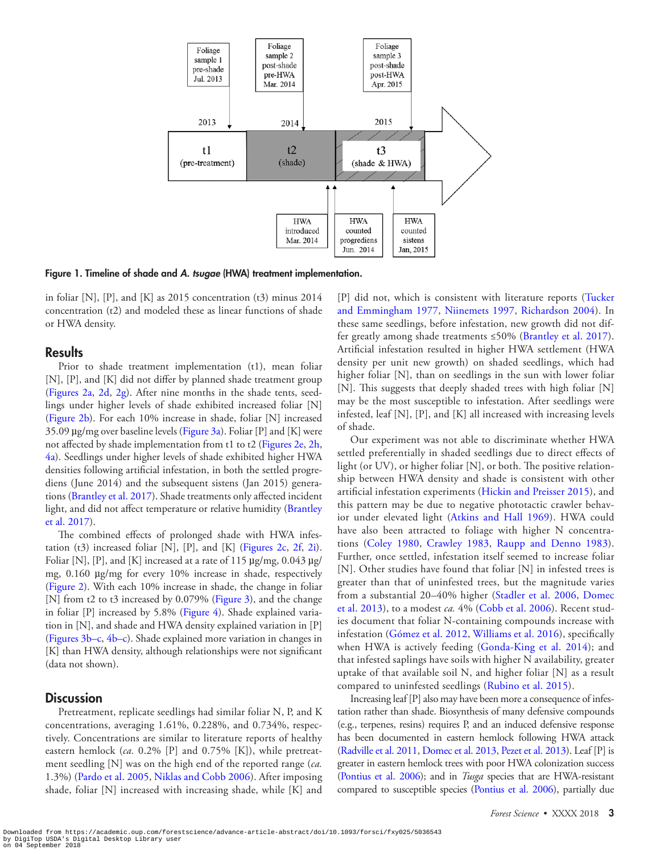

Figure 1. Timeline of shade and *A. tsugae* (HWA) treatment implementation.

in foliar [N], [P], and [K] as  $2015$  concentration (t3) minus  $2014$ concentration (t2) and modeled these as linear functions of shade or HWA density.

# **Results**

Prior to shade treatment implementation (t1), mean foliar [N], [P], and [K] did not differ by planned shade treatment group [\(Figures 2a](#page-3-0), [2d,](#page-3-0) [2g](#page-3-0)). After nine months in the shade tents, seedlings under higher levels of shade exhibited increased foliar [N] [\(Figure 2b\)](#page-3-0). For each 10% increase in shade, foliar [N] increased 35.09  $\mu$ g/mg over baseline levels [\(Figure 3a\)](#page-3-1). Foliar [P] and [K] were not affected by shade implementation from t1 to t2 ([Figures 2e, 2h](#page-3-0), [4a](#page-4-7)). Seedlings under higher levels of shade exhibited higher HWA densities following artificial infestation, in both the settled progrediens (June 2014) and the subsequent sistens (Jan 2015) generations [\(Brantley et al. 2017\)](#page-4-5). Shade treatments only affected incident light, and did not affect temperature or relative humidity ([Brantley](#page-4-5)  [et al. 2017](#page-4-5)).

The combined effects of prolonged shade with HWA infes-tation (t3) increased foliar [N], [P], and [K] ([Figures 2c,](#page-3-0) [2f,](#page-3-0) [2i](#page-3-0)). Foliar [N], [P], and [K] increased at a rate of 115  $\mu$ g/mg, 0.043  $\mu$ g/ mg, 0.160 µg/mg for every 10% increase in shade, respectively [\(Figure 2\)](#page-3-0). With each 10% increase in shade, the change in foliar [N] from t2 to t3 increased by 0.079% ([Figure 3\)](#page-3-1), and the change in foliar [P] increased by 5.8% ([Figure 4](#page-4-7)). Shade explained variation in [N], and shade and HWA density explained variation in [P] [\(Figures 3b–c](#page-3-1), [4b–c\)](#page-4-7). Shade explained more variation in changes in [K] than HWA density, although relationships were not significant (data not shown).

# **Discussion**

Pretreatment, replicate seedlings had similar foliar N, P, and K concentrations, averaging 1.61%, 0.228%, and 0.734%, respectively. Concentrations are similar to literature reports of healthy eastern hemlock (*ca.* 0.2% [P] and 0.75% [K]), while pretreatment seedling [N] was on the high end of the reported range (*ca.* 1.3%) [\(Pardo et al. 2005](#page-5-12), [Niklas and Cobb 2006](#page-5-13)). After imposing shade, foliar [N] increased with increasing shade, while [K] and

<span id="page-2-0"></span>[P] did not, which is consistent with literature reports ([Tucker](#page-5-14) [and Emmingham 1977,](#page-5-14) [Niinemets 1997](#page-5-15), [Richardson 2004](#page-5-16)). In these same seedlings, before infestation, new growth did not differ greatly among shade treatments ≤50% [\(Brantley et al. 2017](#page-4-5)). Artificial infestation resulted in higher HWA settlement (HWA density per unit new growth) on shaded seedlings, which had higher foliar [N], than on seedlings in the sun with lower foliar [N]. This suggests that deeply shaded trees with high foliar [N] may be the most susceptible to infestation. After seedlings were infested, leaf [N], [P], and [K] all increased with increasing levels of shade.

Our experiment was not able to discriminate whether HWA settled preferentially in shaded seedlings due to direct effects of light (or UV), or higher foliar [N], or both. The positive relationship between HWA density and shade is consistent with other artificial infestation experiments ([Hickin and Preisser 2015](#page-4-1)), and this pattern may be due to negative phototactic crawler behavior under elevated light [\(Atkins and Hall 1969\)](#page-4-8). HWA could have also been attracted to foliage with higher N concentrations ([Coley 1980](#page-4-9), [Crawley 1983,](#page-4-10) [Raupp and Denno 1983](#page-5-17)). Further, once settled, infestation itself seemed to increase foliar [N]. Other studies have found that foliar [N] in infested trees is greater than that of uninfested trees, but the magnitude varies from a substantial 20–40% higher ([Stadler et al. 2006,](#page-5-18) [Domec](#page-4-11) [et al. 2013](#page-4-11)), to a modest *ca.* 4% ([Cobb et al. 2006](#page-4-12)). Recent studies document that foliar N-containing compounds increase with infestation ([Gómez et al. 2012,](#page-4-13) [Williams et al. 2016\)](#page-5-19), specifically when HWA is actively feeding ([Gonda-King et al. 2014](#page-4-14)); and that infested saplings have soils with higher N availability, greater uptake of that available soil N, and higher foliar [N] as a result compared to uninfested seedlings ([Rubino et al. 2015](#page-5-20)).

Increasing leaf [P] also may have been more a consequence of infestation rather than shade. Biosynthesis of many defensive compounds (e.g., terpenes, resins) requires P, and an induced defensive response has been documented in eastern hemlock following HWA attack [\(Radville et al. 2011](#page-5-21), [Domec et al. 2013,](#page-4-11) [Pezet et al. 2013](#page-5-22)). Leaf [P] is greater in eastern hemlock trees with poor HWA colonization success [\(Pontius et al. 2006\)](#page-5-10); and in *Tusga* species that are HWA-resistant compared to susceptible species [\(Pontius et al. 2006](#page-5-10)), partially due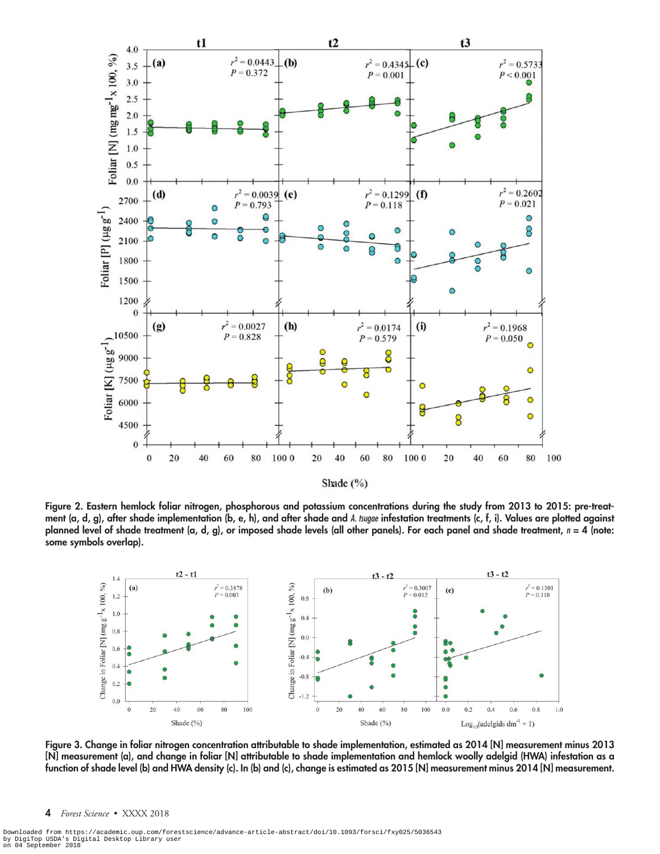

Shade  $(\% )$ 

Figure 2. Eastern hemlock foliar nitrogen, phosphorous and potassium concentrations during the study from 2013 to 2015: pre-treatment (a, d, g), after shade implementation (b, e, h), and after shade and *A. tsugae* infestation treatments (c, f, i). Values are plotted against planned level of shade treatment (a, d, g), or imposed shade levels (all other panels). For each panel and shade treatment, *n* = 4 (note: some symbols overlap).

<span id="page-3-0"></span>

<span id="page-3-1"></span>Figure 3. Change in foliar nitrogen concentration attributable to shade implementation, estimated as 2014 [N] measurement minus 2013 [N] measurement (a), and change in foliar [N] attributable to shade implementation and hemlock woolly adelgid (HWA) infestation as a function of shade level (b) and HWA density (c). In (b) and (c), change is estimated as 2015 [N] measurement minus 2014 [N] measurement.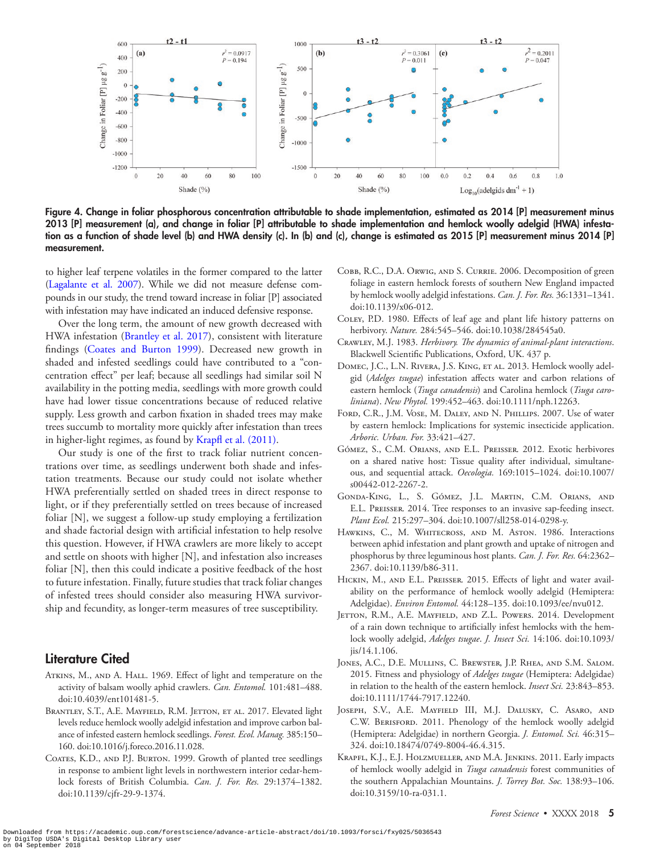

<span id="page-4-7"></span>Figure 4. Change in foliar phosphorous concentration attributable to shade implementation, estimated as 2014 [P] measurement minus 2013 [P] measurement (a), and change in foliar [P] attributable to shade implementation and hemlock woolly adelgid (HWA) infestation as a function of shade level (b) and HWA density (c). In (b) and (c), change is estimated as 2015 [P] measurement minus 2014 [P] measurement.

to higher leaf terpene volatiles in the former compared to the latter [\(Lagalante et al. 2007](#page-5-23)). While we did not measure defense compounds in our study, the trend toward increase in foliar [P] associated with infestation may have indicated an induced defensive response.

Over the long term, the amount of new growth decreased with HWA infestation [\(Brantley et al. 2017](#page-4-5)), consistent with literature findings [\(Coates and Burton 1999\)](#page-4-15). Decreased new growth in shaded and infested seedlings could have contributed to a "concentration effect" per leaf; because all seedlings had similar soil N availability in the potting media, seedlings with more growth could have had lower tissue concentrations because of reduced relative supply. Less growth and carbon fixation in shaded trees may make trees succumb to mortality more quickly after infestation than trees in higher-light regimes, as found by [Krapfl et al. \(2011\)](#page-4-16).

Our study is one of the first to track foliar nutrient concentrations over time, as seedlings underwent both shade and infestation treatments. Because our study could not isolate whether HWA preferentially settled on shaded trees in direct response to light, or if they preferentially settled on trees because of increased foliar [N], we suggest a follow-up study employing a fertilization and shade factorial design with artificial infestation to help resolve this question. However, if HWA crawlers are more likely to accept and settle on shoots with higher [N], and infestation also increases foliar [N], then this could indicate a positive feedback of the host to future infestation. Finally, future studies that track foliar changes of infested trees should consider also measuring HWA survivorship and fecundity, as longer-term measures of tree susceptibility.

# Literature Cited

- <span id="page-4-8"></span>ATKINS, M., AND A. HALL. 1969. Effect of light and temperature on the activity of balsam woolly aphid crawlers. *Can. Entomol.* 101:481–488. doi:10.4039/ent101481-5.
- <span id="page-4-5"></span>BRANTLEY, S.T., A.E. MAYFIELD, R.M. JETTON, ET AL. 2017. Elevated light levels reduce hemlock woolly adelgid infestation and improve carbon balance of infested eastern hemlock seedlings. *Forest. Ecol. Manag.* 385:150– 160. doi:10.1016/j.foreco.2016.11.028.
- <span id="page-4-15"></span>COATES, K.D., AND P.J. BURTON. 1999. Growth of planted tree seedlings in response to ambient light levels in northwestern interior cedar-hemlock forests of British Columbia. *Can. J. For. Res.* 29:1374–1382. doi:10.1139/cjfr-29-9-1374.
- <span id="page-4-12"></span>Cobb, R.C., D.A. Orwig, and S. Currie. 2006. Decomposition of green foliage in eastern hemlock forests of southern New England impacted by hemlock woolly adelgid infestations. *Can. J. For. Res.* 36:1331–1341. doi:10.1139/x06-012.
- <span id="page-4-9"></span>Coley, P.D. 1980. Effects of leaf age and plant life history patterns on herbivory. *Nature.* 284:545–546. doi:10.1038/284545a0.
- <span id="page-4-10"></span>Crawley, M.J. 1983. *Herbivory. The dynamics of animal-plant interactions*. Blackwell Scientific Publications, Oxford, UK. 437 p.
- <span id="page-4-11"></span>DOMEC, J.C., L.N. RIVERA, J.S. KING, ET AL. 2013. Hemlock woolly adelgid (*Adelges tsugae*) infestation affects water and carbon relations of eastern hemlock (*Tsuga canadensis*) and Carolina hemlock (*Tsuga caroliniana*). *New Phytol.* 199:452–463. doi:10.1111/nph.12263.
- <span id="page-4-0"></span>FORD, C.R., J.M. VOSE, M. DALEY, AND N. PHILLIPS. 2007. Use of water by eastern hemlock: Implications for systemic insecticide application. *Arboric. Urban. For.* 33:421–427.
- <span id="page-4-13"></span>Gómez, S., C.M. Orians, and E.L. Preisser. 2012. Exotic herbivores on a shared native host: Tissue quality after individual, simultaneous, and sequential attack. *Oecologia.* 169:1015–1024. doi:10.1007/ s00442-012-2267-2.
- <span id="page-4-14"></span>Gonda-King, L., S. Gómez, J.L. Martin, C.M. Orians, and E.L. Preisser. 2014. Tree responses to an invasive sap-feeding insect. *Plant Ecol.* 215:297–304. doi:10.1007/sll258-014-0298-y.
- <span id="page-4-4"></span>HAWKINS, C., M. WHITECROSS, AND M. ASTON. 1986. Interactions between aphid infestation and plant growth and uptake of nitrogen and phosphorus by three leguminous host plants. *Can. J. For. Res.* 64:2362– 2367. doi:10.1139/b86-311.
- <span id="page-4-1"></span>HICKIN, M., AND E.L. PREISSER. 2015. Effects of light and water availability on the performance of hemlock woolly adelgid (Hemiptera: Adelgidae). *Environ Entomol.* 44:128–135. doi:10.1093/ee/nvu012.
- <span id="page-4-6"></span>JETTON, R.M., A.E. MAYFIELD, AND Z.L. POWERS. 2014. Development of a rain down technique to artificially infest hemlocks with the hemlock woolly adelgid, *Adelges tsugae*. *J. Insect Sci.* 14:106. doi:10.1093/ jis/14.1.106.
- <span id="page-4-3"></span>Jones, A.C., D.E. Mullins, C. Brewster, J.P. Rhea, and S.M. Salom. 2015. Fitness and physiology of *Adelges tsugae* (Hemiptera: Adelgidae) in relation to the health of the eastern hemlock. *Insect Sci.* 23:843–853. doi:10.1111/1744-7917.12240.
- <span id="page-4-2"></span>Joseph, S.V., A.E. Mayfield III, M.J. Dalusky, C. Asaro, and C.W. BERISFORD. 2011. Phenology of the hemlock woolly adelgid (Hemiptera: Adelgidae) in northern Georgia. *J. Entomol. Sci.* 46:315– 324. doi:10.18474/0749-8004-46.4.315.
- <span id="page-4-16"></span>Krapfl, K.J., E.J. Holzmueller, and M.A. Jenkins. 2011. Early impacts of hemlock woolly adelgid in *Tsuga canadensis* forest communities of the southern Appalachian Mountains. *J. Torrey Bot. Soc.* 138:93–106. doi:10.3159/10-ra-031.1.